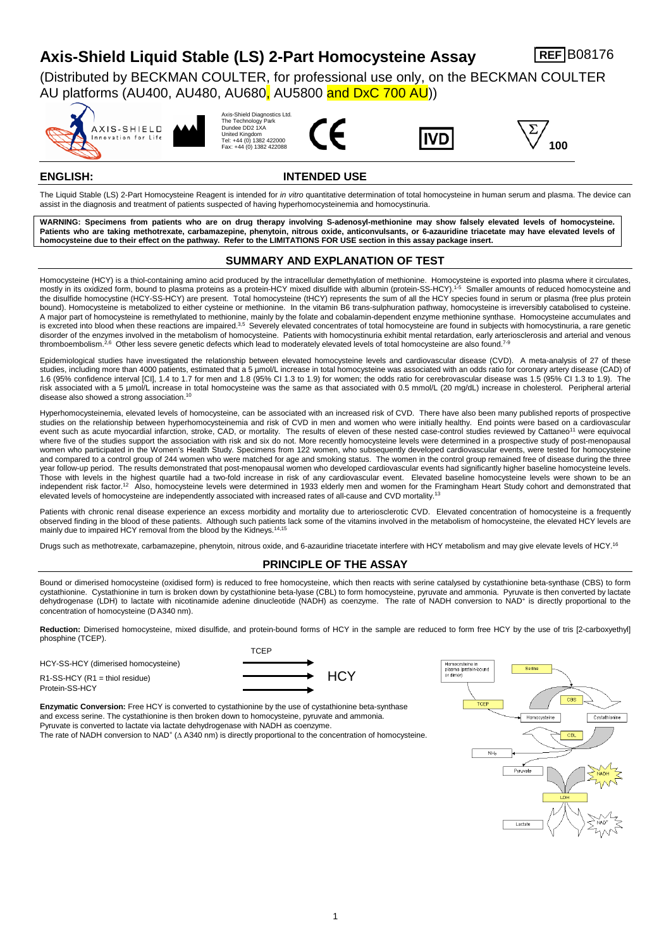# **Axis-Shield Liquid Stable (LS) 2-Part Homocysteine Assay REF B08176**

(Distributed by BECKMAN COULTER, for professional use only, on the BECKMAN COULTER AU platforms (AU400, AU480, AU680, AU5800 and DxC 700 AU))











## **ENGLISH: INTENDED USE**

The Liquid Stable (LS) 2-Part Homocysteine Reagent is intended for *in vitro* quantitative determination of total homocysteine in human serum and plasma. The device can assist in the diagnosis and treatment of patients suspected of having hyperhomocysteinemia and homocystinuria.

**WARNING: Specimens from patients who are on drug therapy involving S-adenosyl-methionine may show falsely elevated levels of homocysteine.**  Patients who are taking methotrexate, carbamazepine, phenytoin, nitrous oxide, anticonvulsants, or 6-azauridine triacetate may have elevated levels of **homocysteine due to their effect on the pathway. Refer to the LIMITATIONS FOR USE section in this assay package insert.**

# **SUMMARY AND EXPLANATION OF TEST**

Homocysteine (HCY) is a thiol-containing amino acid produced by the intracellular demethylation of methionine. Homocysteine is exported into plasma where it circulates, mostly in its oxidized form, bound to plasma proteins as a protein-HCY mixed disulfide with albumin (protein-SS-HCY). 1-5 Smaller amounts of reduced homocysteine and the disulfide homocystine (HCY-SS-HCY) are present. Total homocysteine (tHCY) represents the sum of all the HCY species found in serum or plasma (free plus protein bound). Homocysteine is metabolized to either cysteine or methionine. In the vitamin B6 trans-sulphuration pathway, homocysteine is irreversibly catabolised to cysteine. A major part of homocysteine is remethylated to methionine, mainly by the folate and cobalamin-dependent enzyme methionine synthase. Homocysteine accumulates and is excreted into blood when these reactions are impaired.<sup>3,5</sup> Severely elevated concentrates of total homocysteine are found in subjects with homocystinuria, a rare genetic disorder of the enzymes involved in the metabolism of homocysteine. Patients with homocystinuria exhibit mental retardation, early arteriosclerosis and arterial and venous thromboembolism.<sup>2,6</sup> Other less severe genetic defects which lead to moderately elevated levels of total homocysteine are also found.<sup>7-9</sup>

Epidemiological studies have investigated the relationship between elevated homocysteine levels and cardiovascular disease (CVD). A meta-analysis of 27 of these studies, including more than 4000 patients, estimated that a 5 µmol/L increase in total homocysteine was associated with an odds ratio for coronary artery disease (CAD) of 1.6 (95% confidence interval [CI], 1.4 to 1.7 for men and 1.8 (95% CI 1.3 to 1.9) for women; the odds ratio for cerebrovascular disease was 1.5 (95% CI 1.3 to 1.9). The risk associated with a 5 µmol/L increase in total homocysteine was the same as that associated with 0.5 mmol/L (20 mg/dL) increase in cholesterol. Peripheral arterial disease also showed a strong association. 10

Hyperhomocysteinemia, elevated levels of homocysteine, can be associated with an increased risk of CVD. There have also been many published reports of prospective studies on the relationship between hyperhomocysteinemia and risk of CVD in men and women who were initially healthy. End points were based on a cardiovascular event such as acute myocardial infarction, stroke, CAD, or mortality. The results of eleven of these nested case-control studies reviewed by Cattaneo<sup>11</sup> were equivocal where five of the studies support the association with risk and six do not. More recently homocysteine levels were determined in a prospective study of post-menopausal women who participated in the Women's Health Study. Specimens from 122 women, who subsequently developed cardiovascular events, were tested for homocysteine and compared to a control group of 244 women who were matched for age and smoking status. The women in the control group remained free of disease during the three year follow-up period. The results demonstrated that post-menopausal women who developed cardiovascular events had significantly higher baseline homocysteine levels. Those with levels in the highest quartile had a two-fold increase in risk of any cardiovascular event. Elevated baseline homocysteine levels were shown to be an independent risk factor.<sup>12</sup> Also, homocysteine levels were determined in 1933 elderly men and women for the Framingham Heart Study cohort and demonstrated that elevated levels of homocysteine are independently associated with increased rates of all-cause and CVD mortality.<sup>13</sup>

Patients with chronic renal disease experience an excess morbidity and mortality due to arteriosclerotic CVD. Elevated concentration of homocysteine is a frequently observed finding in the blood of these patients. Although such patients lack some of the vitamins involved in the metabolism of homocysteine, the elevated HCY levels are mainly due to impaired HCY removal from the blood by the Kidneys. 14,15

Drugs such as methotrexate, carbamazepine, phenytoin, nitrous oxide, and 6-azauridine triacetate interfere with HCY metabolism and may give elevate levels of HCY.<sup>16</sup>

# **PRINCIPLE OF THE ASSAY**

Bound or dimerised homocysteine (oxidised form) is reduced to free homocysteine, which then reacts with serine catalysed by cystathionine beta-synthase (CBS) to form cystathionine. Cystathionine in turn is broken down by cystathionine beta-lyase (CBL) to form homocysteine, pyruvate and ammonia. Pyruvate is then converted by lactate dehydrogenase (LDH) to lactate with nicotinamide adenine dinucleotide (NADH) as coenzyme. The rate of NADH conversion to NAD<sup>+</sup> is directly proportional to the concentration of homocysteine (D A340 nm).

Reduction: Dimerised homocysteine, mixed disulfide, and protein-bound forms of HCY in the sample are reduced to form free HCY by the use of tris [2-carboxyethyl] phosphine (TCEP).

HCY-SS-HCY (dimerised homocysteine)  $R1-SS-HCY (R1 = thiol residue)$   $\longrightarrow HCY$ Protein-SS-HCY



**Enzymatic Conversion:** Free HCY is converted to cystathionine by the use of cystathionine beta-synthase and excess serine. The cystathionine is then broken down to homocysteine, pyruvate and ammonia. Pyruvate is converted to lactate via lactate dehydrogenase with NADH as coenzyme. The rate of NADH conversion to NAD+ (∆ A340 nm) is directly proportional to the concentration of homocysteine.

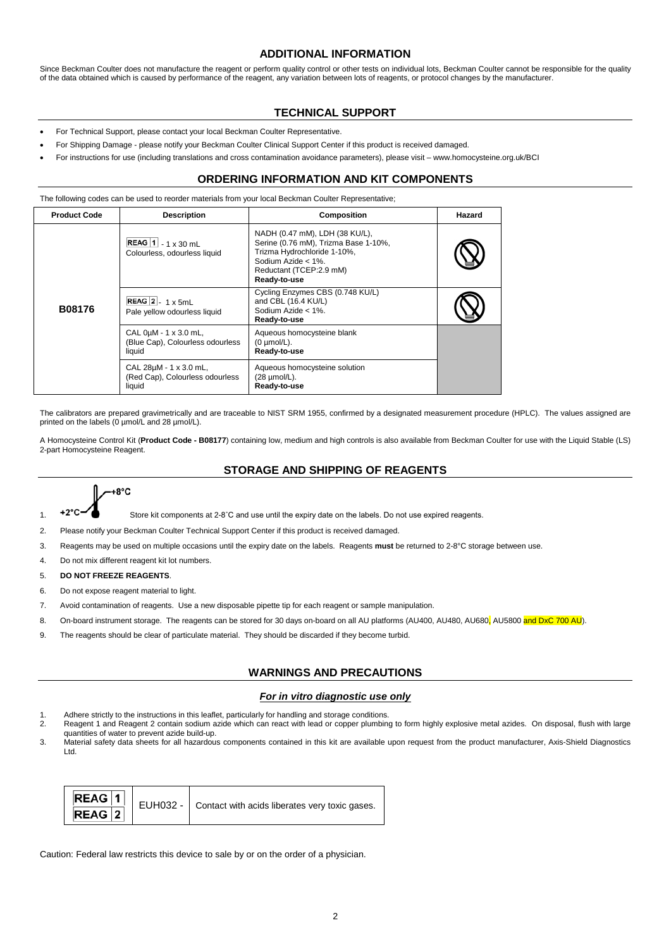## **ADDITIONAL INFORMATION**

Since Beckman Coulter does not manufacture the reagent or perform quality control or other tests on individual lots, Beckman Coulter cannot be responsible for the quality of the data obtained which is caused by performance of the reagent, any variation between lots of reagents, or protocol changes by the manufacturer.

# **TECHNICAL SUPPORT**

- For Technical Support, please contact your local Beckman Coulter Representative.
- For Shipping Damage please notify your Beckman Coulter Clinical Support Center if this product is received damaged.
- For instructions for use (including translations and cross contamination avoidance parameters), please visit www.homocysteine.org.uk/BCI

# **ORDERING INFORMATION AND KIT COMPONENTS**

The following codes can be used to reorder materials from your local Beckman Coulter Representative;

| <b>Product Code</b> | <b>Description</b>                                                       | Composition                                                                                                                                                            | Hazard |
|---------------------|--------------------------------------------------------------------------|------------------------------------------------------------------------------------------------------------------------------------------------------------------------|--------|
|                     | REAG 1 - 1 x 30 mL<br>Colourless, odourless liquid                       | NADH (0.47 mM), LDH (38 KU/L),<br>Serine (0.76 mM), Trizma Base 1-10%,<br>Trizma Hydrochloride 1-10%,<br>Sodium Azide < 1%.<br>Reductant (TCEP:2.9 mM)<br>Ready-to-use |        |
| <b>B08176</b>       | REAG $2 - 1 \times 5mL$<br>Pale yellow odourless liquid                  | Cycling Enzymes CBS (0.748 KU/L)<br>and CBL (16.4 KU/L)<br>Sodium Azide < 1%.<br>Ready-to-use                                                                          |        |
|                     | CAL 0µM - 1 x 3.0 mL,<br>(Blue Cap), Colourless odourless<br>liquid      | Aqueous homocysteine blank<br>$(0 \mu \text{mol/L}).$<br>Ready-to-use                                                                                                  |        |
|                     | CAL $28\mu$ M - 1 x 3.0 mL,<br>(Red Cap), Colourless odourless<br>liquid | Aqueous homocysteine solution<br>$(28 \mu \text{mol/L}).$<br>Ready-to-use                                                                                              |        |

The calibrators are prepared gravimetrically and are traceable to NIST SRM 1955, confirmed by a designated measurement procedure (HPLC). The values assigned are printed on the labels (0 µmol/L and 28 µmol/L).

A Homocysteine Control Kit (**Product Code - B08177**) containing low, medium and high controls is also available from Beckman Coulter for use with the Liquid Stable (LS) 2-part Homocysteine Reagent.

# **STORAGE AND SHIPPING OF REAGENTS**

 $-$ +8°C

1. +2°C- Store kit components at 2-8°C and use until the expiry date on the labels. Do not use expired reagents.

2. Please notify your Beckman Coulter Technical Support Center if this product is received damaged.

- 3. Reagents may be used on multiple occasions until the expiry date on the labels. Reagents **must** be returned to 2-8°C storage between use.
- 4. Do not mix different reagent kit lot numbers.
- 5. **DO NOT FREEZE REAGENTS**.
- 6. Do not expose reagent material to light.
- 7. Avoid contamination of reagents. Use a new disposable pipette tip for each reagent or sample manipulation.
- 8. On-board instrument storage. The reagents can be stored for 30 days on-board on all AU platforms (AU400, AU480, AU680, AU5800 and DxC 700 AU).
- 9. The reagents should be clear of particulate material. They should be discarded if they become turbid.

# **WARNINGS AND PRECAUTIONS**

#### *For in vitro diagnostic use only*

- 1. Adhere strictly to the instructions in this leaflet, particularly for handling and storage conditions.<br>2. Reagent 1 and Reagent 2 contain sodium azide which can react with lead or copper plumbin
- Reagent 1 and Reagent 2 contain sodium azide which can react with lead or copper plumbing to form highly explosive metal azides. On disposal, flush with large quantities of water to prevent azide build-up.
- 3. Material safety data sheets for all hazardous components contained in this kit are available upon request from the product manufacturer, Axis-Shield Diagnostics Ltd.

| REAG <sup>1</sup> | $\frac{1}{4}$ EUH032 - Contact with acids liberates very toxic gases. |
|-------------------|-----------------------------------------------------------------------|
| $REAG$ 2          |                                                                       |

Caution: Federal law restricts this device to sale by or on the order of a physician.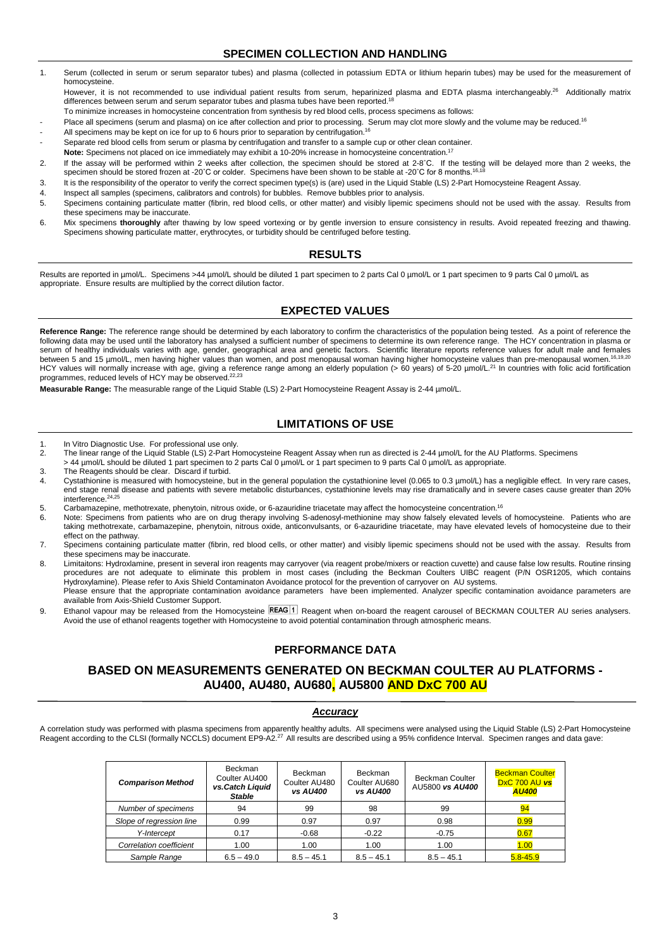# **SPECIMEN COLLECTION AND HANDLING**

- 1. Serum (collected in serum or serum separator tubes) and plasma (collected in potassium EDTA or lithium heparin tubes) may be used for the measurement of homocysteine.
- However, it is not recommended to use individual patient results from serum, heparinized plasma and EDTA plasma interchangeably.<sup>26</sup> Additionally matrix differences between serum and serum separator tubes and plasma tubes have been reported.<sup>18</sup>
- To minimize increases in homocysteine concentration from synthesis by red blood cells, process specimens as follows:
- Place all specimens (serum and plasma) on ice after collection and prior to processing. Serum may clot more slowly and the volume may be reduced.<sup>16</sup>
- All specimens may be kept on ice for up to 6 hours prior to separation by centrifugation.<sup>16</sup>
- Separate red blood cells from serum or plasma by centrifugation and transfer to a sample cup or other clean container.
- **Note:** Specimens not placed on ice immediately may exhibit a 10-20% increase in homocysteine concentration.<sup>17</sup> 2. If the assay will be performed within 2 weeks after collection, the specimen should be stored at 2-8˚C. If the testing will be delayed more than 2 weeks, the
- specimen should be stored frozen at -20°C or colder. Specimens have been shown to be stable at -20°C for 8 months.<sup>16,18</sup> 3. It is the responsibility of the operator to verify the correct specimen type(s) is (are) used in the Liquid Stable (LS) 2-Part Homocysteine Reagent Assay.
- 4. Inspect all samples (specimens, calibrators and controls) for bubbles. Remove bubbles prior to analysis.
- 5. Specimens containing particulate matter (fibrin, red blood cells, or other matter) and visibly lipemic specimens should not be used with the assay. Results from these specimens may be inaccurate.
- 6. Mix specimens **thoroughly** after thawing by low speed vortexing or by gentle inversion to ensure consistency in results. Avoid repeated freezing and thawing. Specimens showing particulate matter, erythrocytes, or turbidity should be centrifuged before testing.

#### **RESULTS**

Results are reported in µmol/L. Specimens >44 µmol/L should be diluted 1 part specimen to 2 parts Cal 0 µmol/L or 1 part specimen to 9 parts Cal 0 µmol/L as appropriate. Ensure results are multiplied by the correct dilution factor.

# **EXPECTED VALUES**

Reference Range: The reference range should be determined by each laboratory to confirm the characteristics of the population being tested. As a point of reference the following data may be used until the laboratory has an following data may be used until the laboratory has analysed a sufficient number of specimens to determine its own reference range. The HCY concentration in plasma or serum of healthy individuals varies with age, gender, geographical area and genetic factors. Scientific literature reports reference values for adult male and females<br>between 5 and 15 umol/L men baving bigher values than between 5 and 15 µmol/L, men having higher values than women, and post menopausal woman having higher homocysteine values than pre-menopausal women.<sup>16</sup> HCY values will normally increase with age, giving a reference range among an elderly population (> 60 years) of 5-20 µmol/L.<sup>21</sup> In countries with folic acid fortification programmes, reduced levels of HCY may be observed. 22,23

**Measurable Range:** The measurable range of the Liquid Stable (LS) 2-Part Homocysteine Reagent Assay is 2-44 µmol/L.

# **LIMITATIONS OF USE**

- 1. In Vitro Diagnostic Use. For professional use only.
- 2. The linear range of the Liquid Stable (LS) 2-Part Homocysteine Reagent Assay when run as directed is 2-44 µmol/L for the AU Platforms. Specimens
- > 44 µmol/L should be diluted 1 part specimen to 2 parts Cal 0 µmol/L or 1 part specimen to 9 parts Cal 0 µmol/L as appropriate.
- 3. The Reagents should be clear. Discard if turbid. Cystathionine is measured with homocysteine, but in the general population the cystathionine level (0.065 to 0.3 µmol/L) has a negligible effect. In very rare cases, end stage renal disease and patients with severe metabolic disturbances, cystathionine levels may rise dramatically and in severe cases cause greater than 20% interference.24,25
- 5. Carbamazepine, methotrexate, phenytoin, nitrous oxide, or 6-azauridine triacetate may affect the homocysteine concentration.<sup>16</sup>
- 6. Note: Specimens from patients who are on drug therapy involving S-adenosyl-methionine may show falsely elevated levels of homocysteine. Patients who are taking methotrexate, carbamazepine, phenytoin, nitrous oxide, anticonvulsants, or 6-azauridine triacetate, may have elevated levels of homocysteine due to their effect on the pathway.
- 7. Specimens containing particulate matter (fibrin, red blood cells, or other matter) and visibly lipemic specimens should not be used with the assay. Results from these specimens may be inaccurate.
- 8. Limitaitons: Hydroxlamine, present in several iron reagents may carryover (via reagent probe/mixers or reaction cuvette) and cause false low results. Routine rinsing procedures are not adequate to eliminate this problem in most cases (including the Beckman Coulters UIBC reagent (P/N OSR1205, which contains Hydroxylamine). Please refer to Axis Shield Contaminaton Avoidance protocol for the prevention of carryover on AU systems. Please ensure that the appropriate contamination avoidance parameters have been implemented. Analyzer specific contamination avoidance parameters are available from Axis-Shield Customer Support.
- 9. Ethanol vapour may be released from the Homocysteine REAG 1 Reagent when on-board the reagent carousel of BECKMAN COULTER AU series analysers. Avoid the use of ethanol reagents together with Homocysteine to avoid potential contamination through atmospheric means.

#### **PERFORMANCE DATA**

# **BASED ON MEASUREMENTS GENERATED ON BECKMAN COULTER AU PLATFORMS - AU400, AU480, AU680, AU5800 AND DxC 700 AU**

#### *Accuracy*

A correlation study was performed with plasma specimens from apparently healthy adults. All specimens were analysed using the Liquid Stable (LS) 2-Part Homocysteine<br>Reagent according to the CLSI (formally NCCLS) document E

| <b>Comparison Method</b> | Beckman<br>Coulter AU400<br>vs.Catch Liquid<br><b>Stable</b> | <b>Beckman</b><br>Coulter AU480<br><b>vs AU400</b> | Beckman<br>Coulter AU680<br>vs AU400 | <b>Beckman Coulter</b><br>AU5800 vs AU400 | <b>Beckman Coulter</b><br>DxC 700 AU vs<br><b>AU400</b> |
|--------------------------|--------------------------------------------------------------|----------------------------------------------------|--------------------------------------|-------------------------------------------|---------------------------------------------------------|
| Number of specimens      | 94                                                           | 99                                                 | 98                                   | 99                                        | 94                                                      |
| Slope of regression line | 0.99                                                         | 0.97                                               | 0.97                                 | 0.98                                      | 0.99                                                    |
| Y-Intercept              | 0.17                                                         | $-0.68$                                            | $-0.22$                              | $-0.75$                                   | 0.67                                                    |
| Correlation coefficient  | 1.00                                                         | 1.00                                               | 1.00                                 | 1.00                                      | 1.00                                                    |
| Sample Range             | $6.5 - 49.0$                                                 | $8.5 - 45.1$                                       | $8.5 - 45.1$                         | $8.5 - 45.1$                              | $5.8 - 45.9$                                            |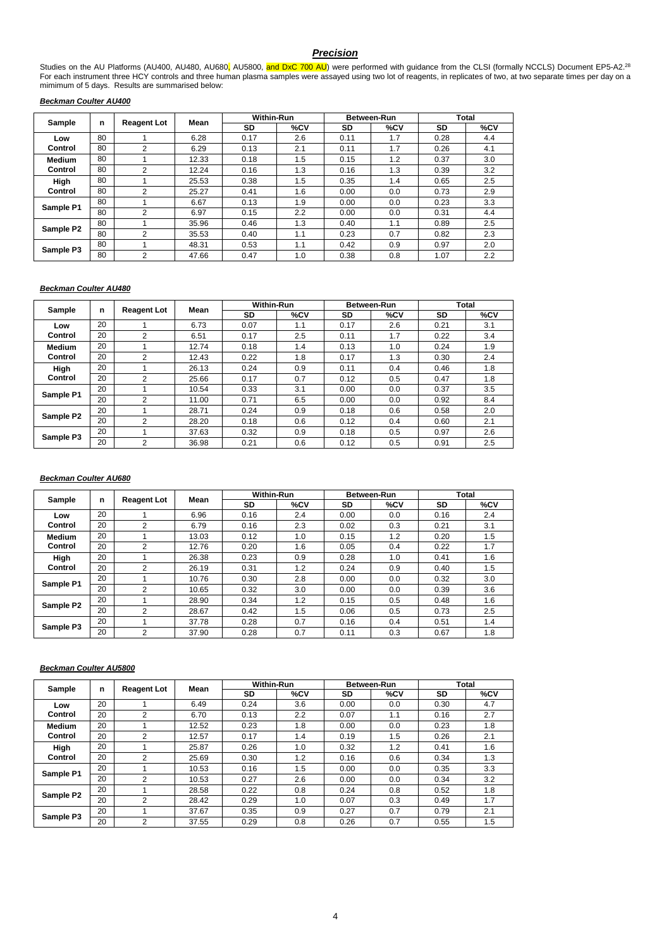## *Precision*

Studies on the AU Platforms (AU400, AU480, AU680<mark>,</mark> AU5800, <mark>and DxC 700 AU</mark>) were performed with guidance from the CLSI (formally NCCLS) Document EP5-A2.<sup>28</sup> For each instrument three HCY controls and three human plasma samples were assayed using two lot of reagents, in replicates of two, at two separate times per day on a mimimum of 5 days. Results are summarised below:

#### *Beckman Coulter AU400*

| Sample        | n  | <b>Reagent Lot</b> | Mean  |      | <b>Within-Run</b> |      | Between-Run |      | Total |  |
|---------------|----|--------------------|-------|------|-------------------|------|-------------|------|-------|--|
|               |    |                    |       | SD   | %CV               | SD   | %CV         | SD   | %CV   |  |
| Low           | 80 |                    | 6.28  | 0.17 | 2.6               | 0.11 | 1.7         | 0.28 | 4.4   |  |
| Control       | 80 | $\overline{2}$     | 6.29  | 0.13 | 2.1               | 0.11 | 1.7         | 0.26 | 4.1   |  |
| <b>Medium</b> | 80 |                    | 12.33 | 0.18 | 1.5               | 0.15 | 1.2         | 0.37 | 3.0   |  |
| Control       | 80 | $\overline{2}$     | 12.24 | 0.16 | 1.3               | 0.16 | 1.3         | 0.39 | 3.2   |  |
| High          | 80 |                    | 25.53 | 0.38 | 1.5               | 0.35 | 1.4         | 0.65 | 2.5   |  |
| Control       | 80 | 2                  | 25.27 | 0.41 | 1.6               | 0.00 | 0.0         | 0.73 | 2.9   |  |
| Sample P1     | 80 |                    | 6.67  | 0.13 | 1.9               | 0.00 | 0.0         | 0.23 | 3.3   |  |
|               | 80 | $\overline{2}$     | 6.97  | 0.15 | 2.2               | 0.00 | 0.0         | 0.31 | 4.4   |  |
| Sample P2     | 80 |                    | 35.96 | 0.46 | 1.3               | 0.40 | 1.1         | 0.89 | 2.5   |  |
|               | 80 | $\overline{2}$     | 35.53 | 0.40 | 1.1               | 0.23 | 0.7         | 0.82 | 2.3   |  |
| Sample P3     | 80 |                    | 48.31 | 0.53 | 1.1               | 0.42 | 0.9         | 0.97 | 2.0   |  |
|               | 80 | $\overline{2}$     | 47.66 | 0.47 | 1.0               | 0.38 | 0.8         | 1.07 | 2.2   |  |

## *Beckman Coulter AU480*

| Sample        |    |                    | Mean  | <b>Within-Run</b> |     |      | Between-Run | Total |     |
|---------------|----|--------------------|-------|-------------------|-----|------|-------------|-------|-----|
|               | n  | <b>Reagent Lot</b> |       | SD                | %CV | SD   | %CV         | SD    | %CV |
| Low           | 20 |                    | 6.73  | 0.07              | 1.1 | 0.17 | 2.6         | 0.21  | 3.1 |
| Control       | 20 | 2                  | 6.51  | 0.17              | 2.5 | 0.11 | 1.7         | 0.22  | 3.4 |
| <b>Medium</b> | 20 |                    | 12.74 | 0.18              | 1.4 | 0.13 | 1.0         | 0.24  | 1.9 |
| Control       | 20 | $\overline{2}$     | 12.43 | 0.22              | 1.8 | 0.17 | 1.3         | 0.30  | 2.4 |
| High          | 20 |                    | 26.13 | 0.24              | 0.9 | 0.11 | 0.4         | 0.46  | 1.8 |
| Control       | 20 | $\overline{2}$     | 25.66 | 0.17              | 0.7 | 0.12 | 0.5         | 0.47  | 1.8 |
| Sample P1     | 20 |                    | 10.54 | 0.33              | 3.1 | 0.00 | 0.0         | 0.37  | 3.5 |
|               | 20 | 2                  | 11.00 | 0.71              | 6.5 | 0.00 | 0.0         | 0.92  | 8.4 |
| Sample P2     | 20 |                    | 28.71 | 0.24              | 0.9 | 0.18 | 0.6         | 0.58  | 2.0 |
|               | 20 | $\overline{2}$     | 28.20 | 0.18              | 0.6 | 0.12 | 0.4         | 0.60  | 2.1 |
|               | 20 |                    | 37.63 | 0.32              | 0.9 | 0.18 | 0.5         | 0.97  | 2.6 |
| Sample P3     | 20 | 2                  | 36.98 | 0.21              | 0.6 | 0.12 | 0.5         | 0.91  | 2.5 |

#### *Beckman Coulter AU680*

| Sample        | n  | <b>Reagent Lot</b> | Mean  | <b>Within-Run</b> |     | <b>Between-Run</b> |     | <b>Total</b> |     |
|---------------|----|--------------------|-------|-------------------|-----|--------------------|-----|--------------|-----|
|               |    |                    |       | SD                | %CV | SD                 | %CV | SD           | %CV |
| Low           | 20 |                    | 6.96  | 0.16              | 2.4 | 0.00               | 0.0 | 0.16         | 2.4 |
| Control       | 20 | $\overline{2}$     | 6.79  | 0.16              | 2.3 | 0.02               | 0.3 | 0.21         | 3.1 |
| <b>Medium</b> | 20 |                    | 13.03 | 0.12              | 1.0 | 0.15               | 1.2 | 0.20         | 1.5 |
| Control       | 20 | $\overline{2}$     | 12.76 | 0.20              | 1.6 | 0.05               | 0.4 | 0.22         | 1.7 |
| High          | 20 |                    | 26.38 | 0.23              | 0.9 | 0.28               | 1.0 | 0.41         | 1.6 |
| Control       | 20 | $\overline{2}$     | 26.19 | 0.31              | 1.2 | 0.24               | 0.9 | 0.40         | 1.5 |
| Sample P1     | 20 |                    | 10.76 | 0.30              | 2.8 | 0.00               | 0.0 | 0.32         | 3.0 |
|               | 20 | $\mathfrak{p}$     | 10.65 | 0.32              | 3.0 | 0.00               | 0.0 | 0.39         | 3.6 |
|               | 20 |                    | 28.90 | 0.34              | 1.2 | 0.15               | 0.5 | 0.48         | 1.6 |
| Sample P2     | 20 | $\overline{2}$     | 28.67 | 0.42              | 1.5 | 0.06               | 0.5 | 0.73         | 2.5 |
|               | 20 |                    | 37.78 | 0.28              | 0.7 | 0.16               | 0.4 | 0.51         | 1.4 |
| Sample P3     | 20 | $\overline{2}$     | 37.90 | 0.28              | 0.7 | 0.11               | 0.3 | 0.67         | 1.8 |

#### *Beckman Coulter AU5800*

|               |    | Mean               | <b>Within-Run</b> |           | <b>Between-Run</b> |      | Total |      |     |
|---------------|----|--------------------|-------------------|-----------|--------------------|------|-------|------|-----|
| Sample        | n  | <b>Reagent Lot</b> |                   | <b>SD</b> | %CV                | SD   | %CV   | SD   | %CV |
| Low           | 20 |                    | 6.49              | 0.24      | 3.6                | 0.00 | 0.0   | 0.30 | 4.7 |
| Control       | 20 | $\overline{2}$     | 6.70              | 0.13      | 2.2                | 0.07 | 1.1   | 0.16 | 2.7 |
| <b>Medium</b> | 20 |                    | 12.52             | 0.23      | 1.8                | 0.00 | 0.0   | 0.23 | 1.8 |
| Control       | 20 | 2                  | 12.57             | 0.17      | 1.4                | 0.19 | 1.5   | 0.26 | 2.1 |
| High          | 20 |                    | 25.87             | 0.26      | 1.0                | 0.32 | 1.2   | 0.41 | 1.6 |
| Control       | 20 | $\overline{2}$     | 25.69             | 0.30      | 1.2                | 0.16 | 0.6   | 0.34 | 1.3 |
| Sample P1     | 20 |                    | 10.53             | 0.16      | 1.5                | 0.00 | 0.0   | 0.35 | 3.3 |
|               | 20 | 2                  | 10.53             | 0.27      | 2.6                | 0.00 | 0.0   | 0.34 | 3.2 |
|               | 20 |                    | 28.58             | 0.22      | 0.8                | 0.24 | 0.8   | 0.52 | 1.8 |
| Sample P2     | 20 | $\overline{2}$     | 28.42             | 0.29      | 1.0                | 0.07 | 0.3   | 0.49 | 1.7 |
|               | 20 |                    | 37.67             | 0.35      | 0.9                | 0.27 | 0.7   | 0.79 | 2.1 |
| Sample P3     | 20 | $\overline{2}$     | 37.55             | 0.29      | 0.8                | 0.26 | 0.7   | 0.55 | 1.5 |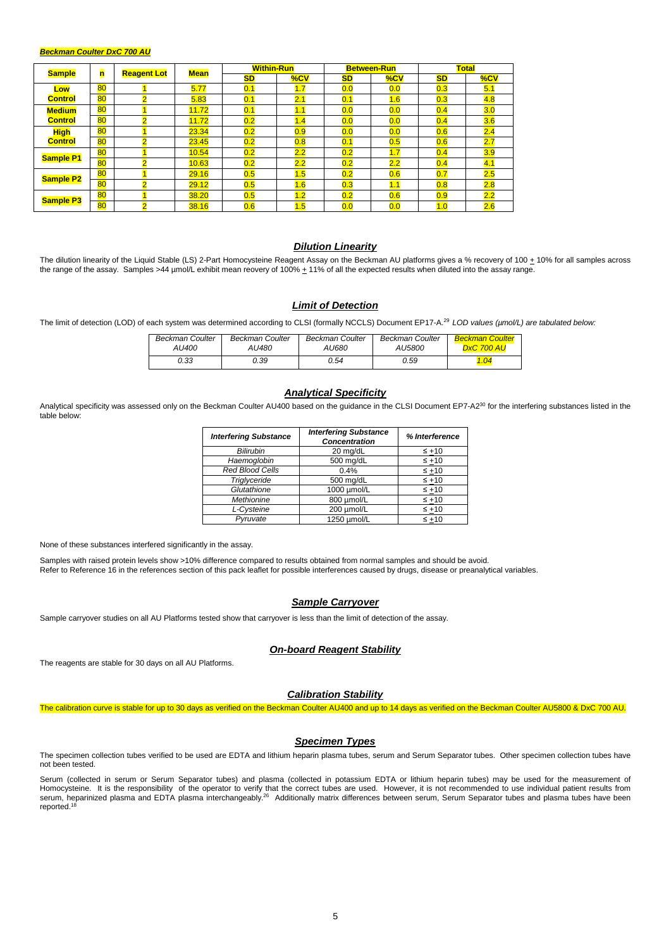#### *Beckman Coulter DxC 700 AU*

| <b>Sample</b>    |    | 'n | <b>Mean</b><br><b>Reagent Lot</b> |           | <b>Within-Run</b> |           | <b>Between-Run</b> |     | <b>Total</b> |  |
|------------------|----|----|-----------------------------------|-----------|-------------------|-----------|--------------------|-----|--------------|--|
|                  |    |    |                                   | <b>SD</b> | %CV               | <b>SD</b> | %CV                | SD  | %CV          |  |
| Low              | 80 |    | 5.77                              | 0.1       | 1.7               | 0.0       | 0.0                | 0.3 | 5.1          |  |
| <b>Control</b>   | 80 |    | 5.83                              | 0.1       | 2.1               | 0.1       | 1.6                | 0.3 | 4.8          |  |
| <b>Medium</b>    | 80 |    | 11.72                             | 0.1       | 1.1               | 0.0       | 0.0                | 0.4 | 3.0          |  |
| <b>Control</b>   | 80 |    | 11.72                             | 0.2       | 1.4               | 0.0       | 0.0                | 0.4 | 3.6          |  |
| <b>High</b>      | 80 |    | 23.34                             | 0.2       | 0.9               | 0.0       | 0.0                | 0.6 | 2.4          |  |
| <b>Control</b>   | 80 |    | 23.45                             | 0.2       | 0.8               | 0.1       | 0.5                | 0.6 | 2.7          |  |
| <b>Sample P1</b> | 80 |    | 10.54                             | 0.2       | 2.2               | 0.2       | 1.7                | 0.4 | 3.9          |  |
|                  | 80 |    | 10.63                             | 0.2       | 2.2               | 0.2       | 2.2                | 0.4 | 4.1          |  |
| <b>Sample P2</b> | 80 |    | 29.16                             | 0.5       | 1.5               | 0.2       | 0.6                | 0.7 | 2.5          |  |
|                  | 80 |    | 29.12                             | 0.5       | 1.6               | 0.3       | 1.1                | 0.8 | 2.8          |  |
|                  | 80 |    | 38.20                             | 0.5       | 1.2               | 0.2       | 0.6                | 0.9 | 2.2          |  |
| <b>Sample P3</b> | 80 |    | 38.16                             | 0.6       | 1.5               | 0.0       | 0.0                | 1.0 | 2.6          |  |

#### *Dilution Linearity*

The dilution linearity of the Liquid Stable (LS) 2-Part Homocysteine Reagent Assay on the Beckman AU platforms gives a % recovery of 100 + 10% for all samples across the range of the assay. Samples >44 µmol/L exhibit mean reovery of 100% + 11% of all the expected results when diluted into the assay range.

#### *Limit of Detection*

The limit of detection (LOD) of each system was determined according to CLSI (formally NCCLS) Document EP17-A. <sup>29</sup> *LOD values (µmol/L) are tabulated below:*

| <b>Beckman Coulter</b> | Beckman Coulter | <b>Beckman Coulter</b> | Beckman Coulter | <b>Beckman Coulter</b> |
|------------------------|-----------------|------------------------|-----------------|------------------------|
| AU400                  | AU480           | AU680                  | <i>AU5800</i>   | <b>DxC 700 AU</b>      |
| 0.33                   | 0.39            | 0.54                   | 0.59            |                        |

# *Analytical Specificity*

Analytical specificity was assessed only on the Beckman Coulter AU400 based on the quidance in the CLSI Document EP7-A2<sup>30</sup> for the interfering substances listed in the table below:

| <b>Interfering Substance</b> | <b>Interfering Substance</b><br><b>Concentration</b> | % Interference |  |
|------------------------------|------------------------------------------------------|----------------|--|
| <b>Bilirubin</b>             | 20 mg/dL                                             | $\leq$ +10     |  |
| Haemoglobin                  | 500 mg/dL                                            | $\leq$ +10     |  |
| <b>Red Blood Cells</b>       | 0.4%                                                 | $\leq +10$     |  |
| Triglyceride                 | 500 mg/dL                                            | $\leq +10$     |  |
| Glutathione                  | 1000 umol/L                                          | $\leq +10$     |  |
| Methionine                   | 800 µmol/L                                           | $\leq$ +10     |  |
| L-Cysteine                   | 200 µmol/L                                           | $\leq +10$     |  |
| Pvruvate                     | 1250 umol/L                                          | $\leq +10$     |  |

None of these substances interfered significantly in the assay.

Samples with raised protein levels show >10% difference compared to results obtained from normal samples and should be avoid. Refer to Reference 16 in the references section of this pack leaflet for possible interferences caused by drugs, disease or preanalytical variables.

#### *Sample Carryover*

Sample carryover studies on all AU Platforms tested show that carryover is less than the limit of detection of the assay.

# *On-board Reagent Stability*

The reagents are stable for 30 days on all AU Platforms.

#### *Calibration Stability*

The calibration curve is stable for up to 30 days as verified on the Beckman Coulter AU400 and up to 14 days as verified on the Beckman Coulter AU5800 & DxC 700 AU.

#### *Specimen Types*

The specimen collection tubes verified to be used are EDTA and lithium heparin plasma tubes, serum and Serum Separator tubes. Other specimen collection tubes have not been tested.

Serum (collected in serum or Serum Separator tubes) and plasma (collected in potassium EDTA or lithium heparin tubes) may be used for the measurement of Homocysteine. It is the responsibility of the operator to verify that the correct tubes are used. However, it is not recommended to use individual patient results from serum, heparinized plasma and EDTA plasma interchangeably.26 Additionally matrix differences between serum, Serum Separator tubes and plasma tubes have been reported.<sup>18</sup>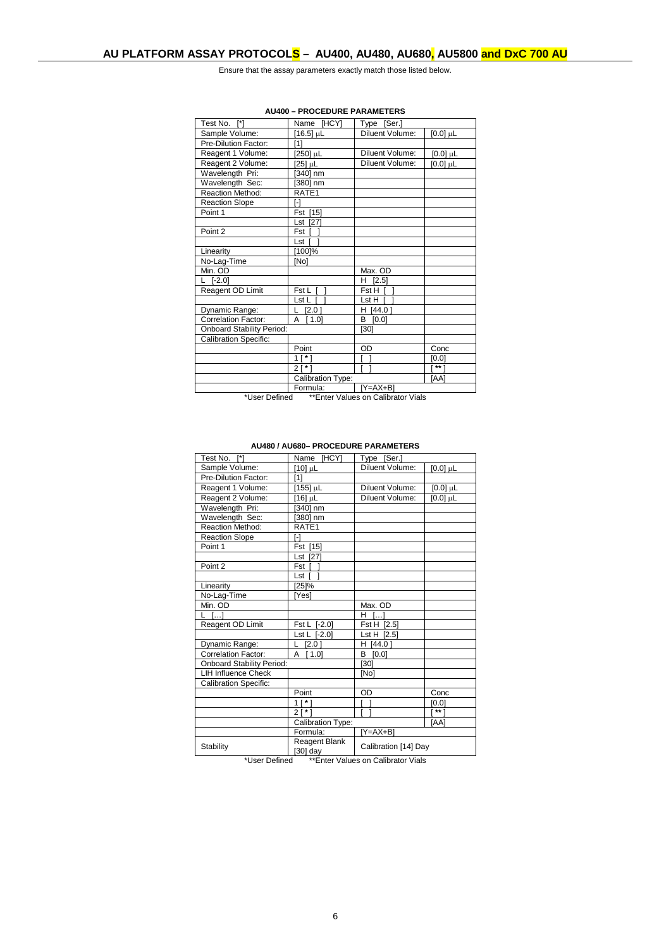Ensure that the assay parameters exactly match those listed below.

| Test No. [*]                     | Name [HCY]              | [Ser.]<br>Type                  |                 |
|----------------------------------|-------------------------|---------------------------------|-----------------|
| Sample Volume:                   | [16.5] µL               | Diluent Volume:                 | [0.0] µL        |
| Pre-Dilution Factor:             | [1]                     |                                 |                 |
| Reagent 1 Volume:                | [250] µL                | Diluent Volume:                 | $[0.0]$ µL      |
| Reagent 2 Volume:                | [25] µL                 | Diluent Volume:                 | $[0.0]$ $\mu$ L |
| Wavelength Pri:                  | [340] nm                |                                 |                 |
| Wavelength Sec:                  | [380] nm                |                                 |                 |
| <b>Reaction Method:</b>          | RATE1                   |                                 |                 |
| <b>Reaction Slope</b>            | ſ-1                     |                                 |                 |
| Point 1                          | Fst [15]                |                                 |                 |
|                                  | Lst [27]                |                                 |                 |
| Point 2                          | Fst I                   |                                 |                 |
|                                  | Lst                     |                                 |                 |
| Linearity                        | [100]%                  |                                 |                 |
| No-Lag-Time                      | [No]                    |                                 |                 |
| Min. OD                          |                         | Max. OD                         |                 |
| $[-2.0]$                         |                         | H.<br>[2.5]                     |                 |
| Reagent OD Limit                 | Fst L [                 | Fst H [                         |                 |
|                                  | Lst L I                 | Lst H I                         |                 |
| Dynamic Range:                   | [2.0]                   | H [44.0]                        |                 |
| <b>Correlation Factor:</b>       | [1.0]<br>A              | [0.0]<br>в                      |                 |
| <b>Onboard Stability Period:</b> |                         | [30]                            |                 |
| <b>Calibration Specific:</b>     |                         |                                 |                 |
|                                  | Point                   | OD                              | Conc            |
|                                  | $1$ [*]                 |                                 | [0.0]           |
|                                  | 2١                      |                                 | $**$ ]          |
|                                  | Calibration Type:       |                                 | [AA]            |
|                                  | Formula:                | $\overline{[Y=AX+B]}$           |                 |
| .                                | $+$ $+$ $+$ $+$ $+$ $+$ | $\sim$ $\mu$ $\sim$ $\mu$ $\mu$ |                 |

#### **AU400 – PROCEDURE PARAMETERS**

\*User Defined \*\*Enter Values on Calibrator Vials

**AU480 / AU680– PROCEDURE PARAMETERS**

| Test No. [*]                     | [HCY]<br>Name             | [Ser.]<br>Type             |            |  |
|----------------------------------|---------------------------|----------------------------|------------|--|
| Sample Volume:                   | [10] µL                   | Diluent Volume:            | $[0.0]$ µL |  |
| Pre-Dilution Factor:             | [1]                       |                            |            |  |
| Reagent 1 Volume:                | [155] µL                  | Diluent Volume:            | $[0.0]$ µL |  |
| Reagent 2 Volume:                | $[16]$ µL                 | Diluent Volume:            | $[0.0]$ µL |  |
| Wavelength Pri:                  | [340] nm                  |                            |            |  |
| Wavelength Sec:                  | [380] nm                  |                            |            |  |
| <b>Reaction Method:</b>          | RATE1                     |                            |            |  |
| <b>Reaction Slope</b>            | r-1                       |                            |            |  |
| Point 1                          | Fst [15]                  |                            |            |  |
|                                  | Lst [27]                  |                            |            |  |
| Point 2                          | Fst [                     |                            |            |  |
|                                  | Lst T                     |                            |            |  |
| Linearity                        | [25]%                     |                            |            |  |
| No-Lag-Time                      | [Yes]                     |                            |            |  |
| Min. OD                          |                           | Max. OD                    |            |  |
| []<br>L                          |                           | $\lceil \cdot \rceil$<br>н |            |  |
| Reagent OD Limit                 | Fst L [-2.0]              | Fst H [2.5]                |            |  |
|                                  | Lst L [-2.0]              | Lst H [2.5]                |            |  |
| Dynamic Range:                   | [2.0]<br>L.               | H [44.0]                   |            |  |
| Correlation Factor:              | [1.0]<br>A                | B [0.0]                    |            |  |
| <b>Onboard Stability Period:</b> |                           | [30]                       |            |  |
| <b>LIH Influence Check</b>       |                           | [No]                       |            |  |
| <b>Calibration Specific:</b>     |                           |                            |            |  |
|                                  | Point                     | OD                         | Conc       |  |
|                                  | $1$ [ $*$ ]               |                            | [0.0]      |  |
|                                  | 21                        |                            | $***$      |  |
|                                  | Calibration Type:         |                            | [AA]       |  |
|                                  | Formula:                  | [Y=AX+B]                   |            |  |
| Stability                        | Reagent Blank<br>[30] day | Calibration [14] Day       |            |  |

\*User Defined \*\*Enter Values on Calibrator Vials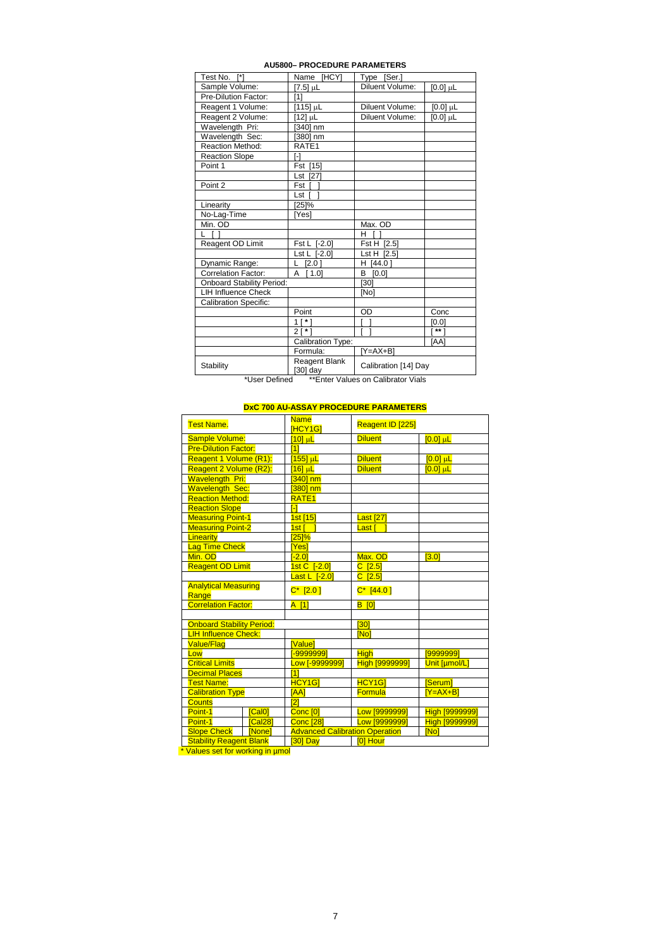| Test No. [*]                     |                           |                      |            |  |  |  |  |
|----------------------------------|---------------------------|----------------------|------------|--|--|--|--|
|                                  | [HCY]<br>Name             | Type<br>[Ser.]       |            |  |  |  |  |
| Sample Volume:                   | [7.5] µL                  | Diluent Volume:      | $[0.0]$ µL |  |  |  |  |
| Pre-Dilution Factor:             | 11                        |                      |            |  |  |  |  |
| Reagent 1 Volume:                | $[115]$ µL                | Diluent Volume:      | $[0.0]$ µL |  |  |  |  |
| Reagent 2 Volume:                | [12] µL                   | Diluent Volume:      | $[0.0]$ µL |  |  |  |  |
| Wavelength Pri:                  | [340] nm                  |                      |            |  |  |  |  |
| Wavelength Sec:                  | [380] nm                  |                      |            |  |  |  |  |
| <b>Reaction Method:</b>          | RATE <sub>1</sub>         |                      |            |  |  |  |  |
| <b>Reaction Slope</b>            | $\lceil - \rceil$         |                      |            |  |  |  |  |
| Point 1                          | Fst [15]                  |                      |            |  |  |  |  |
|                                  | Lst [27]                  |                      |            |  |  |  |  |
| Point 2                          | Fst I                     |                      |            |  |  |  |  |
|                                  | Lst [                     |                      |            |  |  |  |  |
| Linearity                        | [25]%                     |                      |            |  |  |  |  |
| No-Lag-Time                      | [Yes]                     |                      |            |  |  |  |  |
| Min. OD                          |                           | Max. OD              |            |  |  |  |  |
|                                  |                           | н                    |            |  |  |  |  |
| Reagent OD Limit                 | Fst L [-2.0]              | Fst H [2.5]          |            |  |  |  |  |
|                                  | Lst L [-2.0]              | Lst H [2.5]          |            |  |  |  |  |
| Dynamic Range:                   | [2.0]<br>L.               | H [44.0]             |            |  |  |  |  |
| <b>Correlation Factor:</b>       | A<br>[1.0]                | B.<br>[0.0]          |            |  |  |  |  |
| <b>Onboard Stability Period:</b> |                           | [30]                 |            |  |  |  |  |
| <b>LIH Influence Check</b>       |                           | [No]                 |            |  |  |  |  |
| <b>Calibration Specific:</b>     |                           |                      |            |  |  |  |  |
|                                  | Point                     | OD                   | Conc       |  |  |  |  |
|                                  | $1 [ * ]$                 |                      | [0.0]      |  |  |  |  |
|                                  | $21*1$                    |                      | $***$      |  |  |  |  |
|                                  | Calibration Type:<br>IAA1 |                      |            |  |  |  |  |
|                                  | Formula:                  | $[Y=AX+B]$           |            |  |  |  |  |
| Stability                        | Reagent Blank<br>[30] day | Calibration [14] Day |            |  |  |  |  |

#### **AU5800– PROCEDURE PARAMETERS**

\*User Defined \*\*Enter Values on Calibrator Vials

# **DxC 700 AU-ASSAY PROCEDURE PARAMETERS**

|                                  | <b>Test Name.</b>                    |              | <b>Name</b><br><b>IHCY1GI</b>         | Reagent ID [225]  |                        |  |
|----------------------------------|--------------------------------------|--------------|---------------------------------------|-------------------|------------------------|--|
|                                  | <b>Sample Volume:</b>                |              | $[10]$ $\mu$ L                        | <b>Diluent</b>    | $[0.0]$ $\mu$ <b>L</b> |  |
|                                  | <b>Pre-Dilution Factor:</b>          |              | [1]                                   |                   |                        |  |
|                                  | Reagent 1 Volume (R1):               |              | [155] µL                              | <b>Diluent</b>    | $[0.0]$ $\mu$ L        |  |
|                                  | Reagent 2 Volume (R2):               |              | [16] <u>ս</u> Լ                       | <b>Diluent</b>    | $[0.0]$ $\mu$ L        |  |
|                                  | <b>Wavelength Pri:</b>               |              | $[340]$ nm                            |                   |                        |  |
|                                  | <b>Wavelength Sec:</b>               |              | $[380]$ nm                            |                   |                        |  |
|                                  | <b>Reaction Method:</b>              |              | RATE <sub>1</sub>                     |                   |                        |  |
|                                  | <b>Reaction Slope</b>                |              | $\mathsf{F}$                          |                   |                        |  |
|                                  | <b>Measuring Point-1</b>             |              | 1st [15]                              | <b>Last [27]</b>  |                        |  |
|                                  | <b>Measuring Point-2</b>             |              | 1st                                   | Last [            |                        |  |
|                                  | Linearity                            |              | [25]%                                 |                   |                        |  |
|                                  | Lag Time Check                       |              | [Yes]                                 |                   |                        |  |
|                                  | Min. OD                              |              | $-2.01$                               | Max. OD           | [3.0]                  |  |
|                                  | <b>Reagent OD Limit</b>              |              | 1st C [-2.0]                          | $C$ [2.5]         |                        |  |
|                                  |                                      |              | Last L $[-2.0]$                       | $C$ [2.5]         |                        |  |
|                                  | <b>Analytical Measuring</b><br>Range |              | $C^*$ [2.0]                           | $C^*$ [44.0]      |                        |  |
|                                  | <b>Correlation Factor:</b>           |              | $A$ [1]                               | <b>B</b> [0]      |                        |  |
|                                  |                                      |              |                                       |                   |                        |  |
|                                  | <b>Onboard Stability Period:</b>     |              |                                       | [30]              |                        |  |
|                                  | <b>LIH Influence Check:</b>          |              |                                       | [No]              |                        |  |
|                                  | <b>Value/Flag</b>                    |              | [Value]                               |                   |                        |  |
|                                  | Low                                  |              | <b>F-99999991</b>                     | <b>High</b>       | <u>199999991</u>       |  |
|                                  | <b>Critical Limits</b>               |              | Low [-9999999]                        | High [9999999]    | Unit [µmol/L]          |  |
|                                  | <b>Decimal Places</b>                |              | [1]                                   |                   |                        |  |
|                                  | <b>Test Name:</b>                    |              | <b>HCY1G1</b>                         | HCY <sub>1G</sub> | [Serum]                |  |
|                                  | <b>Calibration Type</b>              |              | <b>TAA1</b>                           | Formula           | $[Y=AX+B]$             |  |
|                                  | <b>Counts</b>                        |              | $\overline{21}$                       |                   |                        |  |
|                                  | Point-1                              | [Cal0]       | Conc <sup>[0]</sup>                   | Low [9999999]     | <b>High [9999999]</b>  |  |
|                                  | Point-1                              | [Cal28]      | <b>Conc [28]</b>                      | Low [9999999]     | <b>High [9999999]</b>  |  |
|                                  | <b>Slope Check</b>                   | <b>Nonel</b> | <b>Advanced Calibration Operation</b> |                   | <b>INol</b>            |  |
|                                  | <b>Stability Reagent Blank</b>       |              | $[30]$ Day                            | [0] Hour          |                        |  |
| * Values set for working in umol |                                      |              |                                       |                   |                        |  |